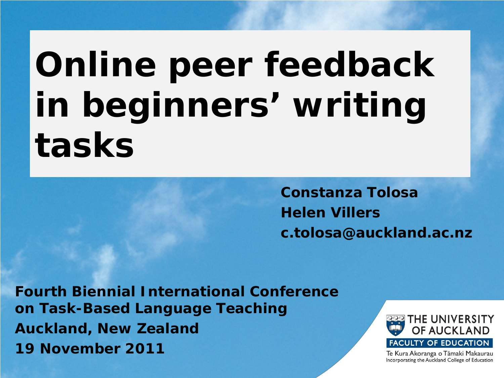# **Online peer feedback in beginners' writing tasks**

**Constanza Tolosa Helen Villers c.tolosa@auckland.ac.nz**

**Fourth Biennial International Conference on Task-Based Language Teaching Auckland, New Zealand 19 November 2011**



Te Kura Akoranga o Tāmaki Makaurau Incorporating the Auckland College of Education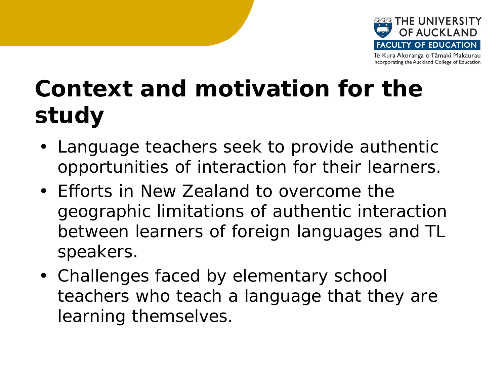

## **Context and motivation for the study**

- Language teachers seek to provide authentic opportunities of interaction for their learners.
- Efforts in New Zealand to overcome the geographic limitations of authentic interaction between learners of foreign languages and TL speakers.
- Challenges faced by elementary school teachers who teach a language that they are learning themselves.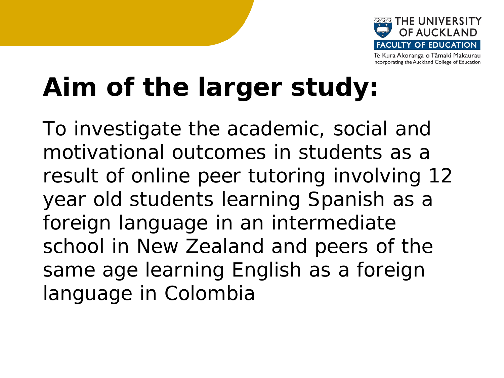

## **Aim of the larger study:**

To investigate the academic, social and motivational outcomes in students as a result of online peer tutoring involving 12 year old students learning Spanish as a foreign language in an intermediate school in New Zealand and peers of the same age learning English as a foreign language in Colombia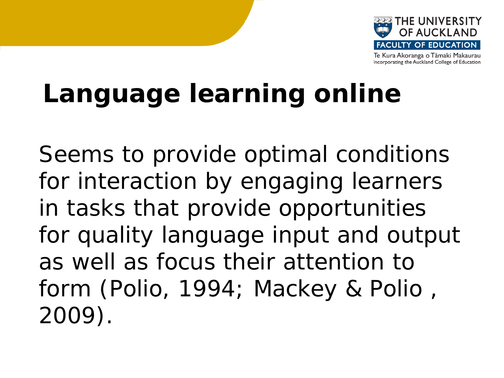

## **Language learning online**

Seems to provide optimal conditions for interaction by engaging learners in tasks that provide opportunities for quality language input and output as well as focus their attention to form (Polio, 1994; Mackey & Polio , 2009).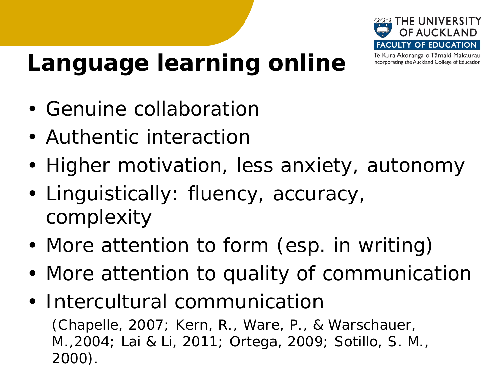

Incorporating the Auckland College of Education

**Language learning online**

- Genuine collaboration
- Authentic interaction
- Higher motivation, less anxiety, autonomy
- Linguistically: fluency, accuracy, complexity
- More attention to form (esp. in writing)
- More attention to quality of communication
- Intercultural communication (Chapelle, 2007; Kern, R., Ware, P., & Warschauer, M.,2004; Lai & Li, 2011; Ortega, 2009; Sotillo, S. M., 2000).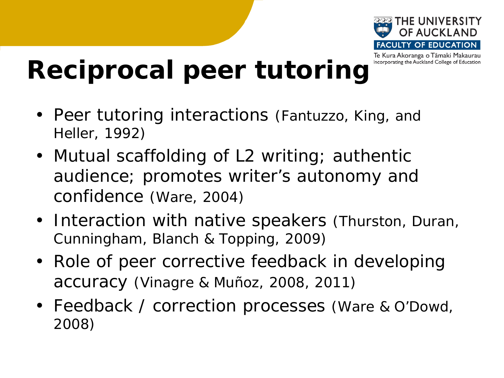

## **Reciprocal peer tutoring**

- Peer tutoring interactions (Fantuzzo, King, and Heller, 1992)
- Mutual scaffolding of L2 writing; authentic audience; promotes writer's autonomy and confidence (Ware, 2004)
- Interaction with native speakers (Thurston, Duran, Cunningham, Blanch & Topping, 2009)
- Role of peer corrective feedback in developing accuracy (Vinagre & Muñoz, 2008, 2011)
- Feedback / correction processes (Ware & O'Dowd, 2008)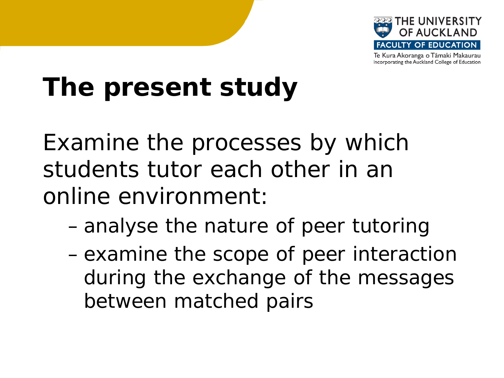

## **The present study**

Examine the processes by which students tutor each other in an online environment:

- analyse the nature of peer tutoring
- examine the scope of peer interaction during the exchange of the messages between matched pairs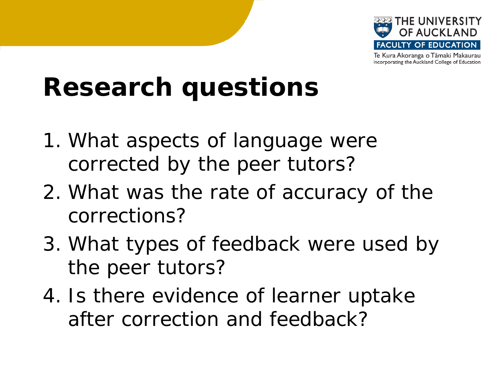

## **Research questions**

- 1. What aspects of language were corrected by the peer tutors?
- 2. What was the rate of accuracy of the corrections?
- 3. What types of feedback were used by the peer tutors?
- 4. Is there evidence of learner uptake after correction and feedback?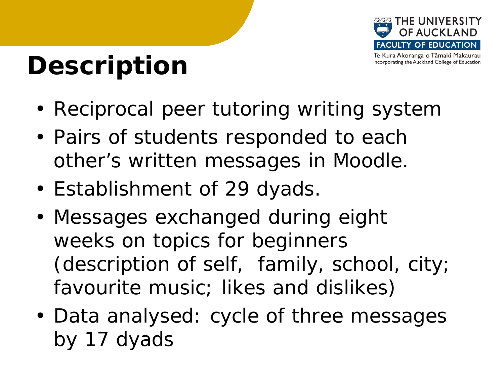

Incorporating the Auckland College of Education

## **Description**

- Reciprocal peer tutoring writing system
- Pairs of students responded to each other's written messages in Moodle.
- Establishment of 29 dyads.
- Messages exchanged during eight weeks on topics for beginners (description of self, family, school, city; favourite music; likes and dislikes)
- Data analysed: cycle of three messages by 17 dyads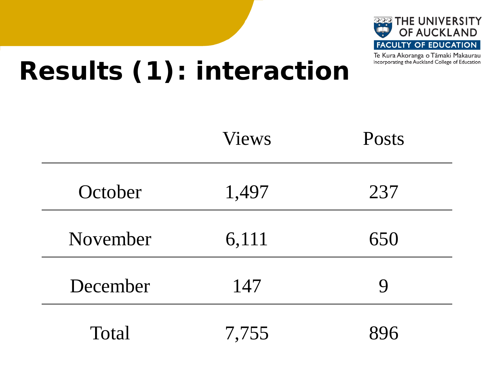

## **Results (1): interaction**

|          | <b>Views</b> | Posts |  |
|----------|--------------|-------|--|
| October  | 1,497        | 237   |  |
| November | 6,111        | 650   |  |
| December | 147          | 9     |  |
| Total    | 7,755        |       |  |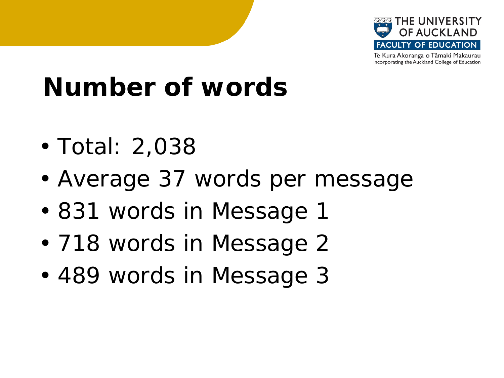

## **Number of words**

- Total: 2,038
- Average 37 words per message
- 831 words in Message 1
- 718 words in Message 2
- 489 words in Message 3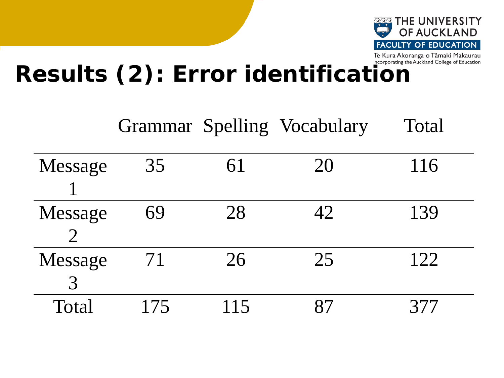

# Results (2): Error identification

|         |     |     | Grammar Spelling Vocabulary | Total |
|---------|-----|-----|-----------------------------|-------|
| Message | 35  | 61  | 20                          | 116   |
| Message | 69  | 28  | 42                          | 139   |
| Message | 71  | 26  | 25                          | 122   |
|         |     |     |                             |       |
| Total   | 175 | 115 |                             |       |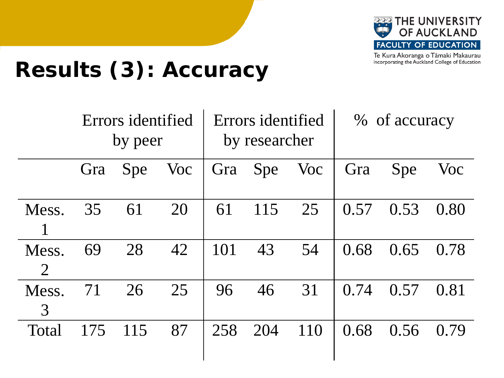

## **Results (3): Accuracy**

|                         | Errors identified<br>by peer |            | Errors identified<br>by researcher |     | % of accuracy |     |      |      |      |
|-------------------------|------------------------------|------------|------------------------------------|-----|---------------|-----|------|------|------|
|                         | Gra                          | <b>Spe</b> | Voc                                | Gra | Spe           | Voc | Gra  | Spe  | Voc  |
| Mess.                   | 35                           | 61         | 20                                 | 61  | 115           | 25  | 0.57 | 0.53 | 0.80 |
| Mess.<br>$\overline{2}$ | 69                           | 28         | 42                                 | 101 | 43            | 54  | 0.68 | 0.65 | 0.78 |
| Mess.<br>3              | 71                           | 26         | 25                                 | 96  | 46            | 31  | 0.74 | 0.57 | 0.81 |
| Total                   | 175                          | 115        | 87                                 | 258 | 204           | 110 | 0.68 | 0.56 | 0.79 |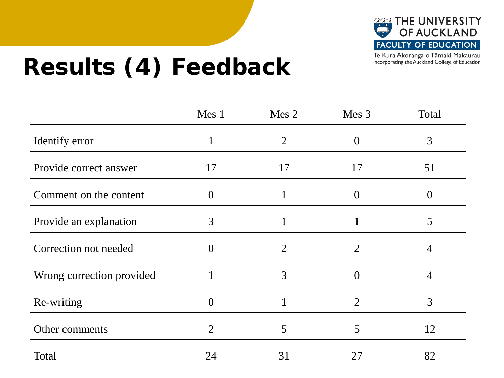

## **Results (4) Feedback**

|                           | Mes 1          | Mes 2          | Mes 3          | Total            |
|---------------------------|----------------|----------------|----------------|------------------|
| Identify error            | $\mathbf{1}$   | $\overline{2}$ | $\Omega$       | 3                |
| Provide correct answer    | 17             | 17             | 17             | 51               |
| Comment on the content    | $\theta$       |                | $\Omega$       | $\left( \right)$ |
| Provide an explanation    | 3              |                |                | 5                |
| Correction not needed     | $\theta$       | $\overline{2}$ | 2              | 4                |
| Wrong correction provided |                | 3              |                | 4                |
| Re-writing                | $\overline{0}$ |                | $\overline{2}$ | 3                |
| Other comments            | $\overline{2}$ | 5              | 5              | 12               |
| Total                     | 24             | 31             | 27             | 82               |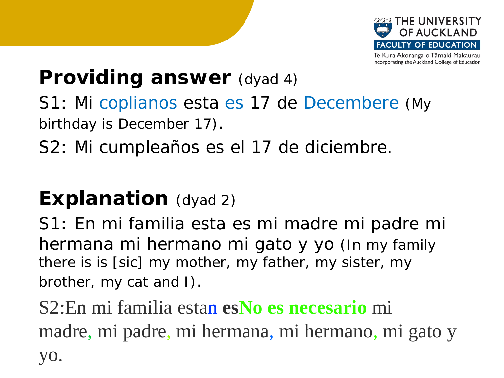

#### **Providing answer** (dyad 4)

S1: Mi coplianos esta es 17 de Decembere (My birthday is December 17).

S2: Mi cumpleaños es el 17 de diciembre.

#### **Explanation** (dyad 2)

S1: En mi familia esta es mi madre mi padre mi hermana mi hermano mi gato y yo (*In my family there is is [sic] my mother, my father, my sister, my brother, my cat and I*).

S2:En mi familia estan **esNo es necesario** mi madre, mi padre, mi hermana, mi hermano, mi gato y yo.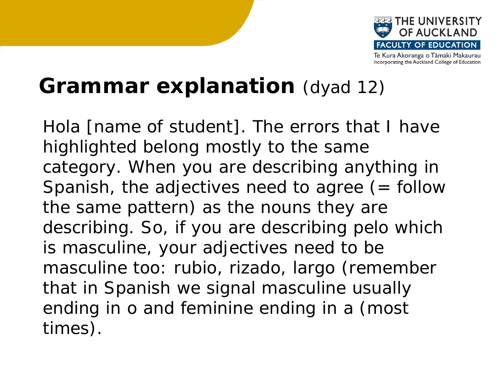

#### **Grammar explanation** (dyad 12)

Hola [name of student]. The errors that I have highlighted belong mostly to the same category. When you are describing anything in Spanish, the adjectives need to agree  $($  = follow the same pattern) as the nouns they are describing. So, if you are describing pelo which is masculine, your adjectives need to be masculine too: rubio, rizado, largo (remember that in Spanish we signal masculine usually ending in o and feminine ending in a (most times).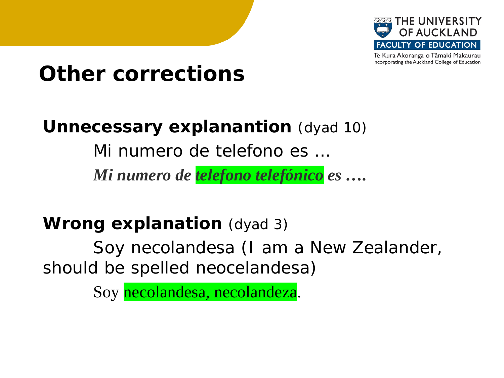

#### **Other corrections**

#### **Unnecessary explanantion** (dyad 10)

Mi numero de telefono es …

*Mi numero de telefono telefónico es ….* 

#### **Wrong explanation** (dyad 3)

Soy necolandesa (I am a New Zealander, should be spelled neocelandesa)

Soy necolandesa, necolandeza.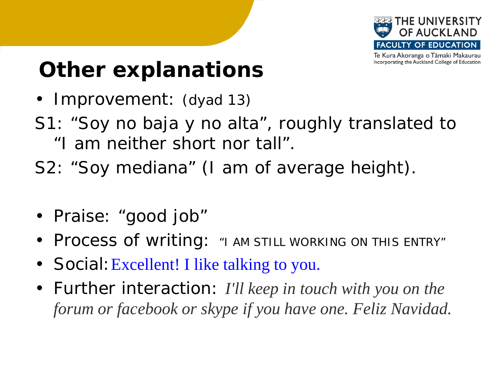

### **Other explanations**

- Improvement: (dyad 13)
- S1: *"Soy no baja y no alta",* roughly translated to "I am neither short nor tall"*.*
- S2: *"Soy mediana"* (I am of average height)*.*
- Praise: "good job"
- Process of writing: "I AM STILL WORKING ON THIS ENTRY"
- Social: Excellent! I like talking to you.
- Further interaction: *I'll keep in touch with you on the forum or facebook or skype if you have one. Feliz Navidad.*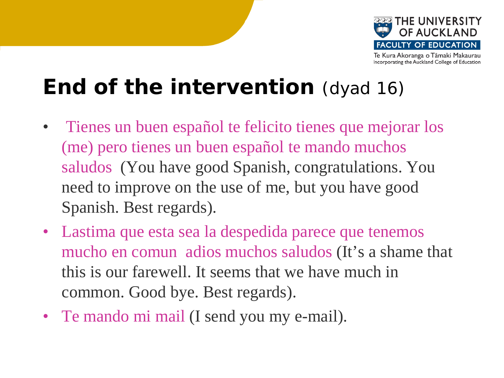

#### **End of the intervention** (dyad 16)

- Tienes un buen español te felicito tienes que mejorar los (me) pero tienes un buen español te mando muchos saludos (You have good Spanish, congratulations. You need to improve on the use of me, but you have good Spanish. Best regards).
- Lastima que esta sea la despedida parece que tenemos mucho en comun adios muchos saludos (It's a shame that this is our farewell. It seems that we have much in common. Good bye. Best regards).
- Te mando mi mail (I send you my e-mail).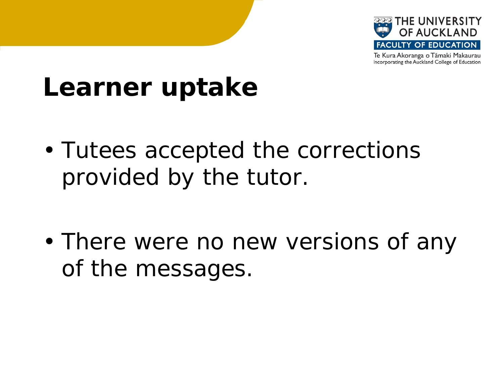

## **Learner uptake**

• Tutees accepted the corrections provided by the tutor.

• There were no new versions of any of the messages.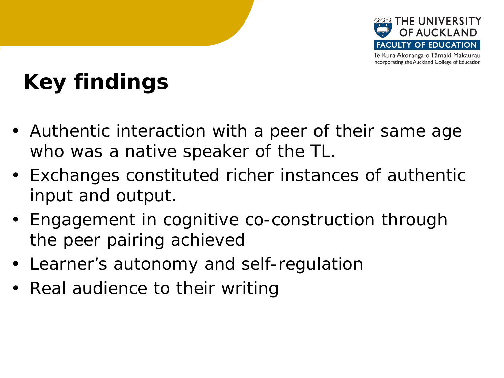

## **Key findings**

- Authentic interaction with a peer of their same age who was a native speaker of the TL.
- Exchanges constituted richer instances of authentic input and output.
- Engagement in cognitive co-construction through the peer pairing achieved
- Learner's autonomy and self-regulation
- Real audience to their writing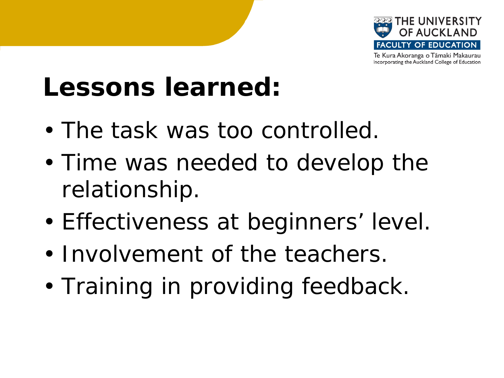

## **Lessons learned:**

- The task was too controlled.
- Time was needed to develop the relationship.
- Effectiveness at beginners' level.
- Involvement of the teachers.
- Training in providing feedback.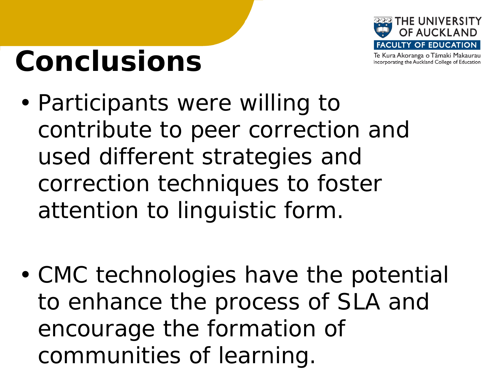

# **Conclusions**

• Participants were willing to contribute to peer correction and used different strategies and correction techniques to foster attention to linguistic form.

• CMC technologies have the potential to enhance the process of SLA and encourage the formation of communities of learning.